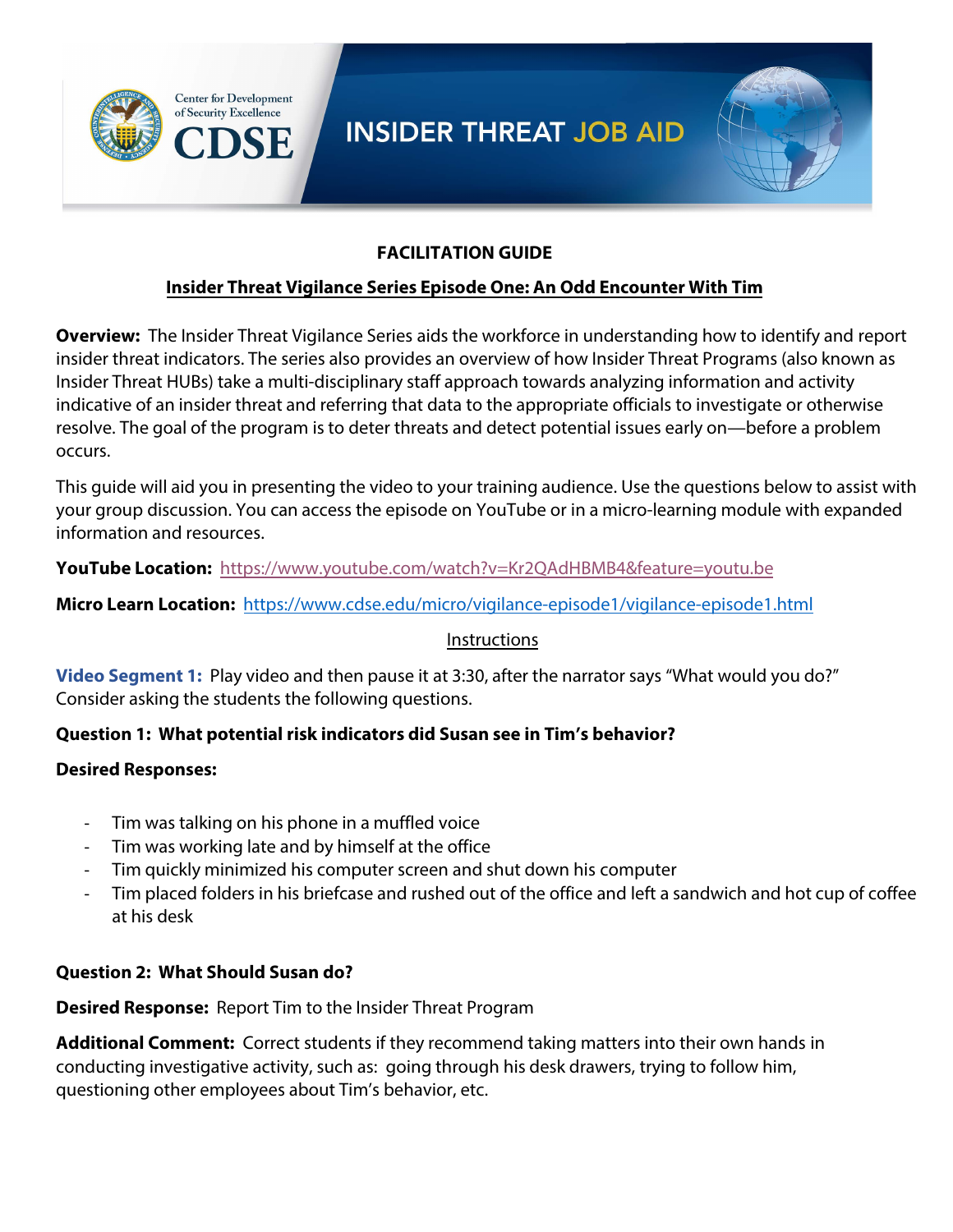



## **FACILITATION GUIDE**

## **Insider Threat Vigilance Series Episode One: An Odd Encounter With Tim**

**Overview:** The Insider Threat Vigilance Series aids the workforce in understanding how to identify and report insider threat indicators. The series also provides an overview of how Insider Threat Programs (also known as Insider Threat HUBs) take a multi-disciplinary staff approach towards analyzing information and activity indicative of an insider threat and referring that data to the appropriate officials to investigate or otherwise resolve. The goal of the program is to deter threats and detect potential issues early on—before a problem occurs.

This guide will aid you in presenting the video to your training audience. Use the questions below to assist with your group discussion. You can access the episode on YouTube or in a micro-learning module with expanded information and resources.

**YouTube Location:** https://www.youtube.com/watch?v=Kr2QAdHBMB4&feature=youtu.be

**Micro Learn Location:** [https://www.cdse.edu/micro/vigilance-episode1/vigilance-episode1.html](https://www.youtube.com/watch?v=Kr2QAdHBMB4&feature=youtu.be%20)

#### [Instructions](https://www.cdse.edu/micro/vigilance-episode1/vigilance-episode1.html)

**Video Segment 1:** Play video and then pause it at 3:30, after the narrator says "What would you do?" Consider asking the students the following questions.

## **Question 1: What potential risk indicators did Susan see in Tim's behavior?**

## **Desired Responses:**

- Tim was talking on his phone in a muffled voice
- Tim was working late and by himself at the office
- Tim quickly minimized his computer screen and shut down his computer
- Tim placed folders in his briefcase and rushed out of the office and left a sandwich and hot cup of coffee at his desk

## **Question 2: What Should Susan do?**

**Desired Response:** Report Tim to the Insider Threat Program

**Additional Comment:** Correct students if they recommend taking matters into their own hands in conducting investigative activity, such as: going through his desk drawers, trying to follow him, questioning other employees about Tim's behavior, etc.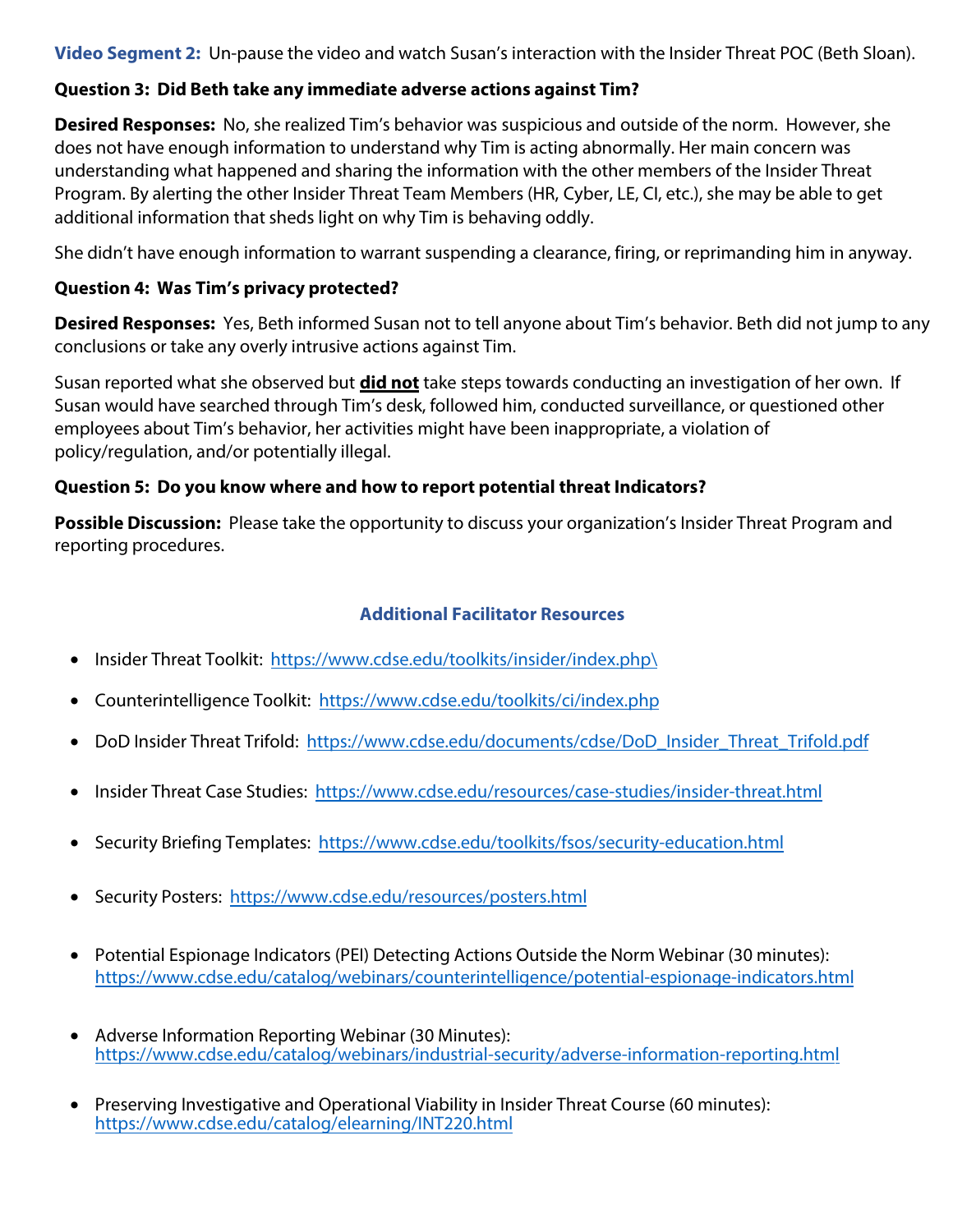**Video Segment 2:** Un-pause the video and watch Susan's interaction with the Insider Threat POC (Beth Sloan).

## **Question 3: Did Beth take any immediate adverse actions against Tim?**

**Desired Responses:** No, she realized Tim's behavior was suspicious and outside of the norm. However, she does not have enough information to understand why Tim is acting abnormally. Her main concern was understanding what happened and sharing the information with the other members of the Insider Threat Program. By alerting the other Insider Threat Team Members (HR, Cyber, LE, CI, etc.), she may be able to get additional information that sheds light on why Tim is behaving oddly.

She didn't have enough information to warrant suspending a clearance, firing, or reprimanding him in anyway.

## **Question 4: Was Tim's privacy protected?**

**Desired Responses:** Yes, Beth informed Susan not to tell anyone about Tim's behavior. Beth did not jump to any conclusions or take any overly intrusive actions against Tim.

Susan reported what she observed but **did not** take steps towards conducting an investigation of her own. If Susan would have searched through Tim's desk, followed him, conducted surveillance, or questioned other employees about Tim's behavior, her activities might have been inappropriate, a violation of policy/regulation, and/or potentially illegal.

## **Question 5: Do you know where and how to report potential threat Indicators?**

**Possible Discussion:** Please take the opportunity to discuss your organization's Insider Threat Program and reporting procedures.

- Insider Threat Toolkit: https://www.cdse.edu/toolkits/insider/index.php\
- Counterintelligence Toolkit: https://www.cdse.edu/toolkits/ci/index.php
- DoD Insider Threat Trifold: https://www.cdse.edu/documents/cdse/DoD\_Insider\_Threat\_Trifold.pdf
- Insider Threat Case Studies: https://www.cdse.edu/resources/case-studies/insider-threat.html
- Security Briefing Templates: https://www.cdse.edu/toolkits/fsos/security-education.html
- Security Posters: h[ttps://www.cdse.edu/resources/posters.html](https://www.cdse.edu/toolkits/insider/index.php)
- Potential Espionage Indi[cators \(PEI\) Detecting Actions Outside the Norm](https://www.cdse.edu/toolkits/ci/index.php) Webinar (30 minutes): https://www.cdse.edu/c[atalog/webinars/counterintelligence/potential-espionage-indicators.html](https://www.cdse.edu/documents/cdse/DoD_Insider_Threat_Trifold.pdf)
- Adverse Information Repo[rting Webinar \(30 Minutes\):](https://www.cdse.edu/resources/case-studies/insider-threat.html) https://www.cdse.edu/ca[talog/webinars/industrial-security/adverse-information-reportin](https://www.cdse.edu/toolkits/fsos/security-education.html)g.html
- Preserving In[vestigative and Operational Viability in Insider Thr](https://www.cdse.edu/resources/posters.html)eat Course (60 minutes): https://www.cdse.edu/catalog/elearning/INT220.html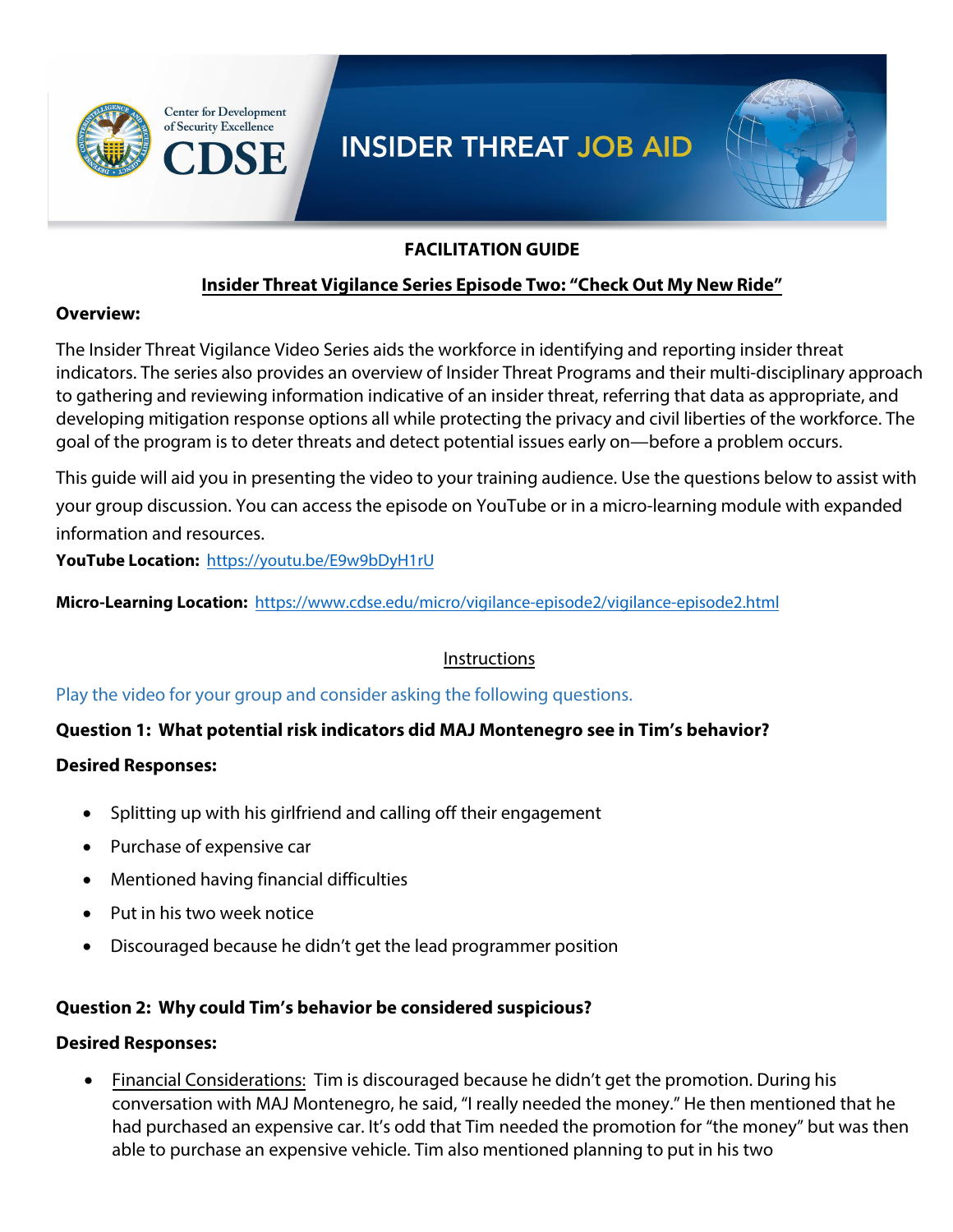



## **FACILITATION GUIDE**

## **Insider Threat Vigilance Series Episode Two: "Check Out My New Ride"**

#### **Overview:**

The Insider Threat Vigilance Video Series aids the workforce in identifying and reporting insider threat indicators. The series also provides an overview of Insider Threat Programs and their multi-disciplinary approach to gathering and reviewing information indicative of an insider threat, referring that data as appropriate, and developing mitigation response options all while protecting the privacy and civil liberties of the workforce. The goal of the program is to deter threats and detect potential issues early on—before a problem occurs.

This guide will aid you in presenting the video to your training audience. Use the questions below to assist with your group discussion. You can access the episode on YouTube or in a micro-learning module with expanded information and resources.

**YouTube Location:** https://youtu.be/E9w9bDyH1rU

**Micro-Learning Location:** https://www.cdse.edu/micro/vigilance-episode2/vigilance-episode2.html

## **Instructions**

Play the video for your group and consider asking the following questions.

#### **Question 1: What potential risk indicators did MAJ Montenegro see in Tim's behavior?**

#### **Desired Responses:**

- Splitting up with his girlfriend and calling off their engagement
- Purchase of expensive car
- Mentioned having financial difficulties
- Put in his two week notice
- Discouraged because he didn't get the lead programmer position

#### **Question 2: Why could Tim's behavior be considered suspicious?**

#### **Desired Responses:**

• Financial Considerations: Tim is discouraged because he didn't get the promotion. During his conversation with MAJ Montenegro, he said, "I really needed the money." He then mentioned that he had purchased an expensive car. It's odd that Tim needed the promotion for "the money" but was then able to purchase an expensive vehicle. Tim also mentioned planning to put in his two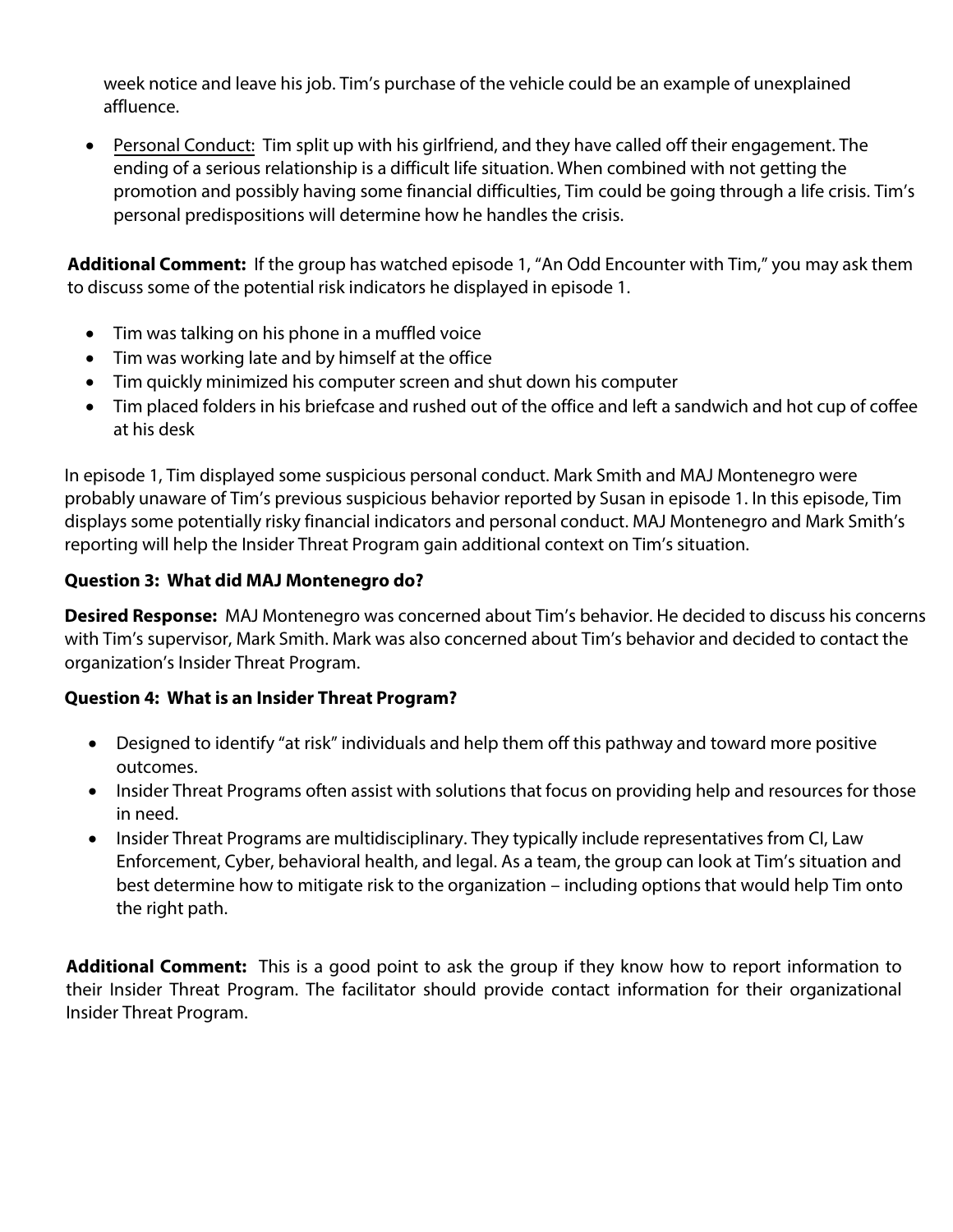week notice and leave his job. Tim's purchase of the vehicle could be an example of unexplained affluence.

• Personal Conduct: Tim split up with his girlfriend, and they have called off their engagement. The ending of a serious relationship is a difficult life situation. When combined with not getting the promotion and possibly having some financial difficulties, Tim could be going through a life crisis. Tim's personal predispositions will determine how he handles the crisis.

**Additional Comment:** If the group has watched episode 1, "An Odd Encounter with Tim," you may ask them to discuss some of the potential risk indicators he displayed in episode 1.

- Tim was talking on his phone in a muffled voice
- Tim was working late and by himself at the office
- Tim quickly minimized his computer screen and shut down his computer
- Tim placed folders in his briefcase and rushed out of the office and left a sandwich and hot cup of coffee at his desk

In episode 1, Tim displayed some suspicious personal conduct. Mark Smith and MAJ Montenegro were probably unaware of Tim's previous suspicious behavior reported by Susan in episode 1. In this episode, Tim displays some potentially risky financial indicators and personal conduct. MAJ Montenegro and Mark Smith's reporting will help the Insider Threat Program gain additional context on Tim's situation.

## **Question 3: What did MAJ Montenegro do?**

**Desired Response:** MAJ Montenegro was concerned about Tim's behavior. He decided to discuss his concerns with Tim's supervisor, Mark Smith. Mark was also concerned about Tim's behavior and decided to contact the organization's Insider Threat Program.

## **Question 4: What is an Insider Threat Program?**

- Designed to identify "at risk" individuals and help them off this pathway and toward more positive outcomes.
- Insider Threat Programs often assist with solutions that focus on providing help and resources for those in need.
- Insider Threat Programs are multidisciplinary. They typically include representatives from CI, Law Enforcement, Cyber, behavioral health, and legal. As a team, the group can look at Tim's situation and best determine how to mitigate risk to the organization – including options that would help Tim onto the right path.

**Additional Comment:** This is a good point to ask the group if they know how to report information to their Insider Threat Program. The facilitator should provide contact information for their organizational Insider Threat Program.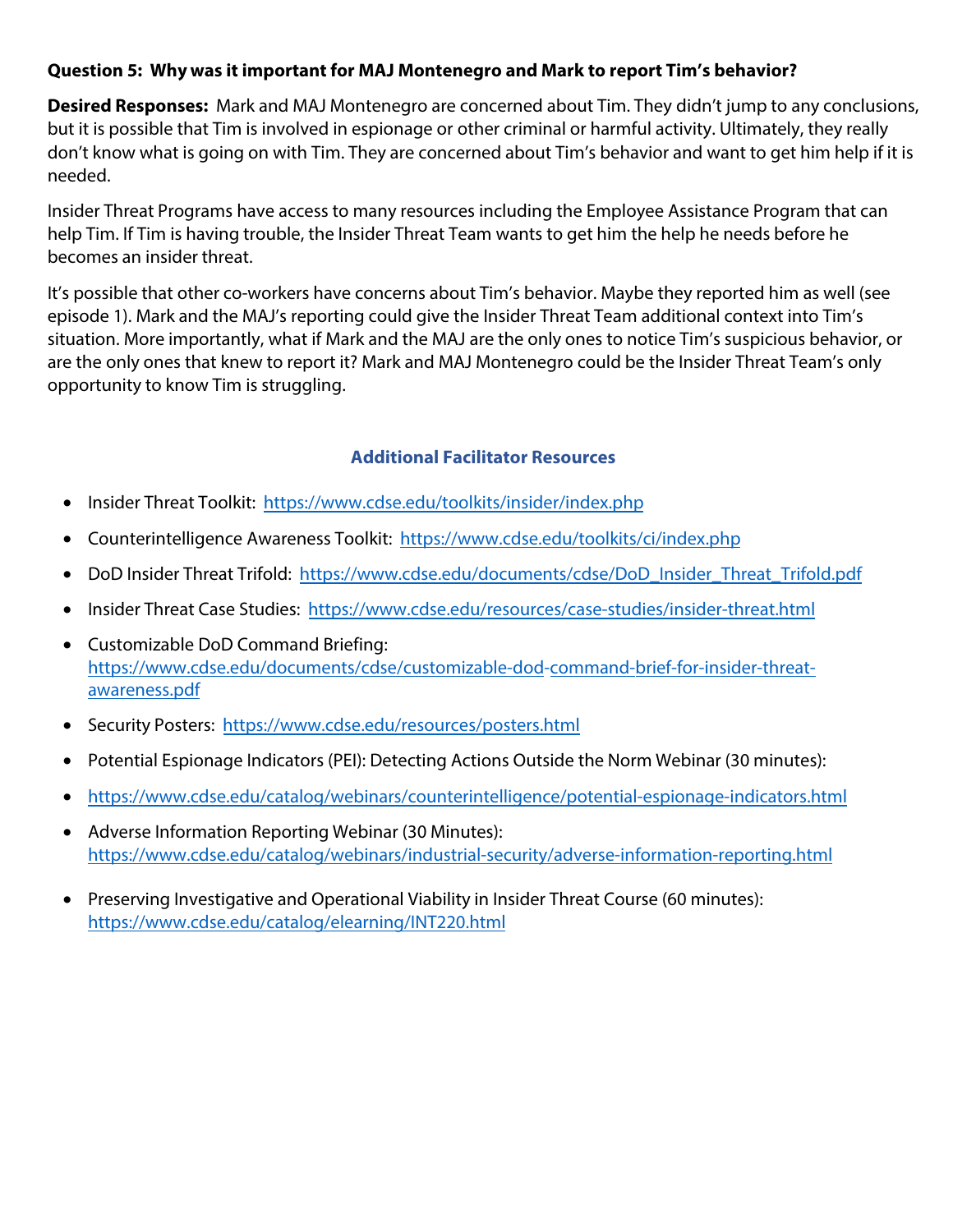## **Question 5: Why was it important for MAJ Montenegro and Mark to report Tim's behavior?**

**Desired Responses:** Mark and MAJ Montenegro are concerned about Tim. They didn't jump to any conclusions, but it is possible that Tim is involved in espionage or other criminal or harmful activity. Ultimately, they really don't know what is going on with Tim. They are concerned about Tim's behavior and want to get him help if it is needed.

Insider Threat Programs have access to many resources including the Employee Assistance Program that can help Tim. If Tim is having trouble, the Insider Threat Team wants to get him the help he needs before he becomes an insider threat.

It's possible that other co-workers have concerns about Tim's behavior. Maybe they reported him as well (see episode 1). Mark and the MAJ's reporting could give the Insider Threat Team additional context into Tim's situation. More importantly, what if Mark and the MAJ are the only ones to notice Tim's suspicious behavior, or are the only ones that knew to report it? Mark and MAJ Montenegro could be the Insider Threat Team's only opportunity to know Tim is struggling.

- Insider Threat Toolkit: https://www.cdse.edu/toolkits/insider/index.php
- Counterintelligence Awareness Toolkit: https://www.cdse.edu/toolkits/ci/index.php
- DoD Insider Threat Trifold: https://www.cdse.edu/documents/cdse/DoD\_Insider\_Threat\_Trifold.pdf
- Insider Threat Case Studies: https://www.cdse.edu/resources/case-studies/insider-threat.html
- Customizable DoD Command Briefing: https://www.cdse.e[du/documents/cdse/customizable-dod-command-b](https://www.cdse.edu/toolkits/insider/index.php)rief-for-insider-threatawareness.pdf
- Security Posters: https://www.cdse.ed[u/resources/posters.html](https://www.cdse.edu/toolkits/ci/index.php)
- Potential Espionage Indi[cat](https://www.cdse.edu/documents/cdse/DoD_Insider_Threat_Trifold.pdf)[ors \(PEI\): Detecting Actions Outside the Norm Webinar \(30 minutes\):](https://www.cdse.edu/resources/case-studies/insider-threat.html)
- https://www.cdse.edu/catalog/webin[ars/counterintelligence/potential-espionage-indicators.html](https://www.cdse.edu/documents/cdse/customizable-dod-command-brief-for-insider-threat-awareness.pdf)
- [Adverse Information Reporting Webinar \(30 Min](https://www.cdse.edu/documents/cdse/customizable-dod-command-brief-for-insider-threat-awareness.pdf)utes): https://www.c[dse.edu/catalog/webinars/industrial-security/adv](https://www.cdse.edu/resources/posters.html)erse-information-reporting.html
- Preserving Investigative and Operational Viability in Insider Threat Course (60 minutes): [https://www.cdse.edu/catalog/elearning/INT220.html](https://www.cdse.edu/catalog/webinars/counterintelligence/potential-espionage-indicators.html)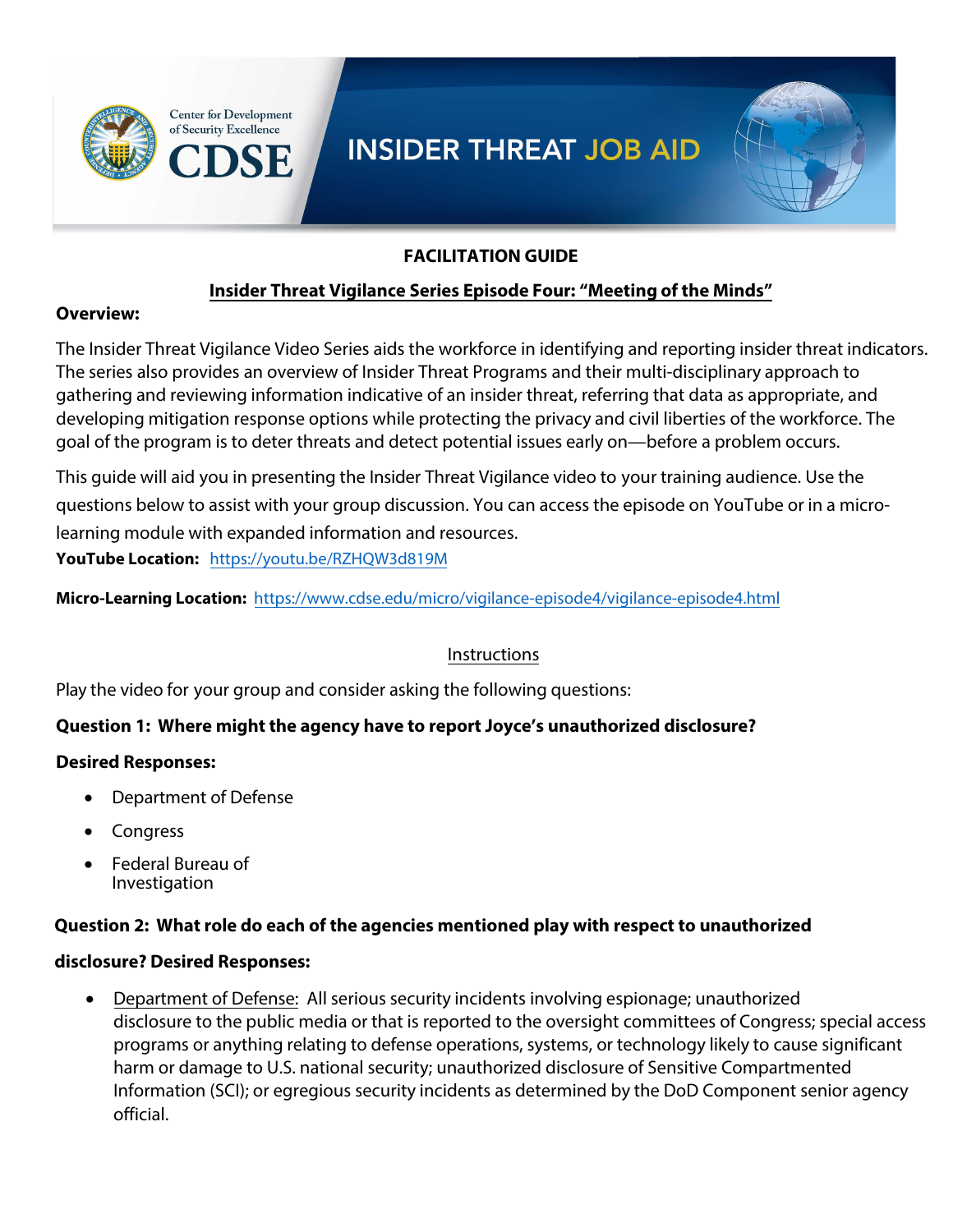



## **FACILITATION GUIDE**

## **Insider Threat Vigilance Series Episode Four: "Meeting of the Minds"**

#### **Overview:**

The Insider Threat Vigilance Video Series aids the workforce in identifying and reporting insider threat indicators. The series also provides an overview of Insider Threat Programs and their multi-disciplinary approach to gathering and reviewing information indicative of an insider threat, referring that data as appropriate, and developing mitigation response options while protecting the privacy and civil liberties of the workforce. The goal of the program is to deter threats and detect potential issues early on—before a problem occurs.

This guide will aid you in presenting the Insider Threat Vigilance video to your training audience. Use the questions below to assist with your group discussion. You can access the episode on YouTube or in a microlearning module with expanded information and resources.

**YouTube Location:** <https://youtu.be/RZHQW3d819M>

**Micro-Learning Location:** [https://www.cdse.edu/micro/vigilance-episode4/vigilance-episode4.ht](https://www.cdse.edu/micro/vigilance-episode4/vigilance-episode4.html)ml

## Instructions

Play the video for your group and consider asking the following questions:

## **Question 1: Where might the agency have to report Joyce's unauthorized disclosure?**

#### **Desired Responses:**

- Department of Defense
- **Congress**
- Federal Bureau of Investigation

#### **Question 2: What role do each of the agencies mentioned play with respect to unauthorized**

#### **disclosure? Desired Responses:**

• Department of Defense: All serious security incidents involving espionage; unauthorized disclosure to the public media or that is reported to the oversight committees of Congress; special access programs or anything relating to defense operations, systems, or technology likely to cause significant harm or damage to U.S. national security; unauthorized disclosure of Sensitive Compartmented Information (SCI); or egregious security incidents as determined by the DoD Component senior agency official.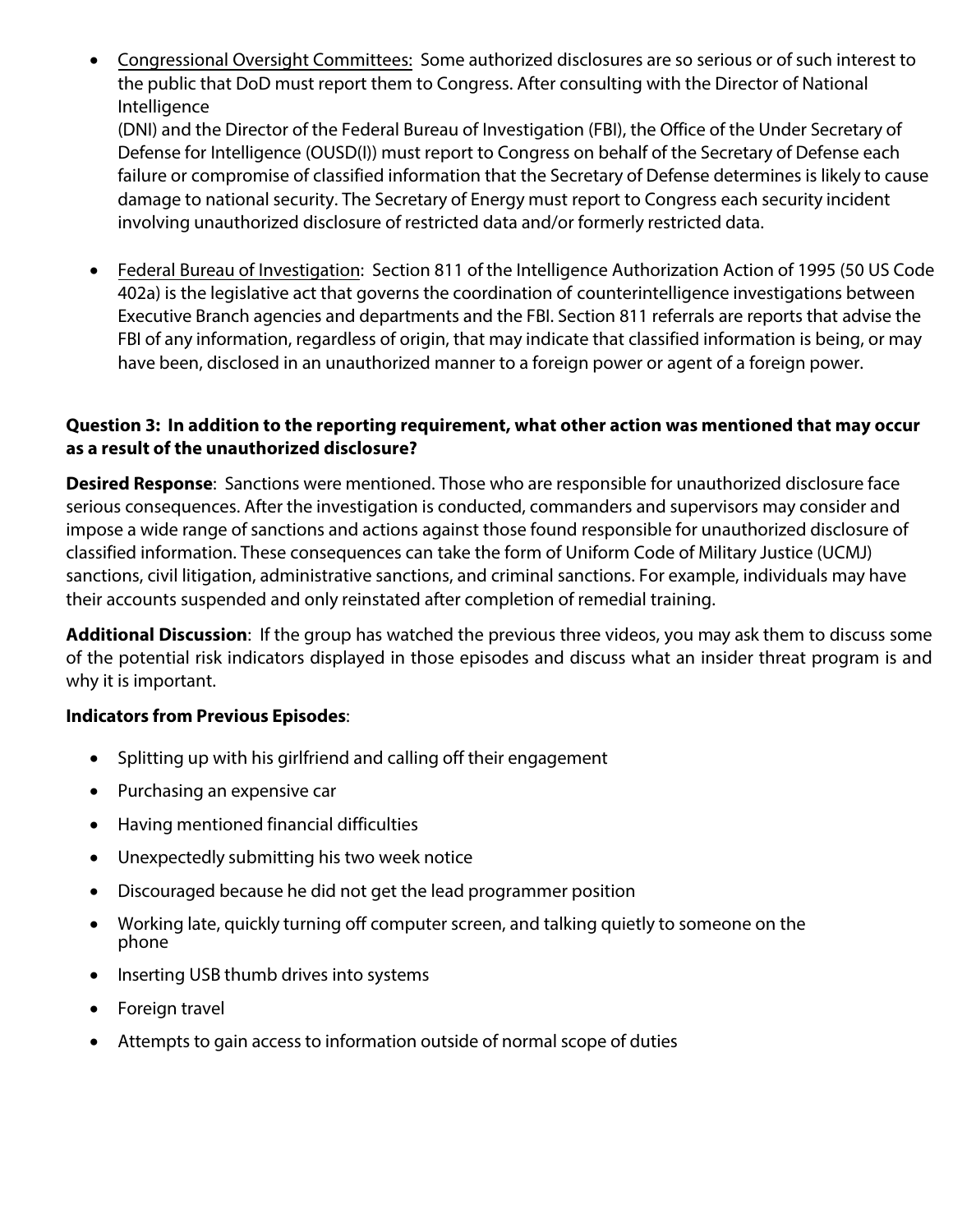• Congressional Oversight Committees: Some authorized disclosures are so serious or of such interest to the public that DoD must report them to Congress. After consulting with the Director of National Intelligence

(DNI) and the Director of the Federal Bureau of Investigation (FBI), the Office of the Under Secretary of Defense for Intelligence (OUSD(I)) must report to Congress on behalf of the Secretary of Defense each failure or compromise of classified information that the Secretary of Defense determines is likely to cause damage to national security. The Secretary of Energy must report to Congress each security incident involving unauthorized disclosure of restricted data and/or formerly restricted data.

• Federal Bureau of Investigation: Section 811 of the Intelligence Authorization Action of 1995 (50 US Code 402a) is the legislative act that governs the coordination of counterintelligence investigations between Executive Branch agencies and departments and the FBI. Section 811 referrals are reports that advise the FBI of any information, regardless of origin, that may indicate that classified information is being, or may have been, disclosed in an unauthorized manner to a foreign power or agent of a foreign power.

## **Question 3: In addition to the reporting requirement, what other action was mentioned that may occur as a result of the unauthorized disclosure?**

**Desired Response**: Sanctions were mentioned. Those who are responsible for unauthorized disclosure face serious consequences. After the investigation is conducted, commanders and supervisors may consider and impose a wide range of sanctions and actions against those found responsible for unauthorized disclosure of classified information. These consequences can take the form of Uniform Code of Military Justice (UCMJ) sanctions, civil litigation, administrative sanctions, and criminal sanctions. For example, individuals may have their accounts suspended and only reinstated after completion of remedial training.

**Additional Discussion**: If the group has watched the previous three videos, you may ask them to discuss some of the potential risk indicators displayed in those episodes and discuss what an insider threat program is and why it is important.

## **Indicators from Previous Episodes**:

- Splitting up with his girlfriend and calling off their engagement
- Purchasing an expensive car
- Having mentioned financial difficulties
- Unexpectedly submitting his two week notice
- Discouraged because he did not get the lead programmer position
- Working late, quickly turning off computer screen, and talking quietly to someone on the phone
- Inserting USB thumb drives into systems
- Foreign travel
- Attempts to gain access to information outside of normal scope of duties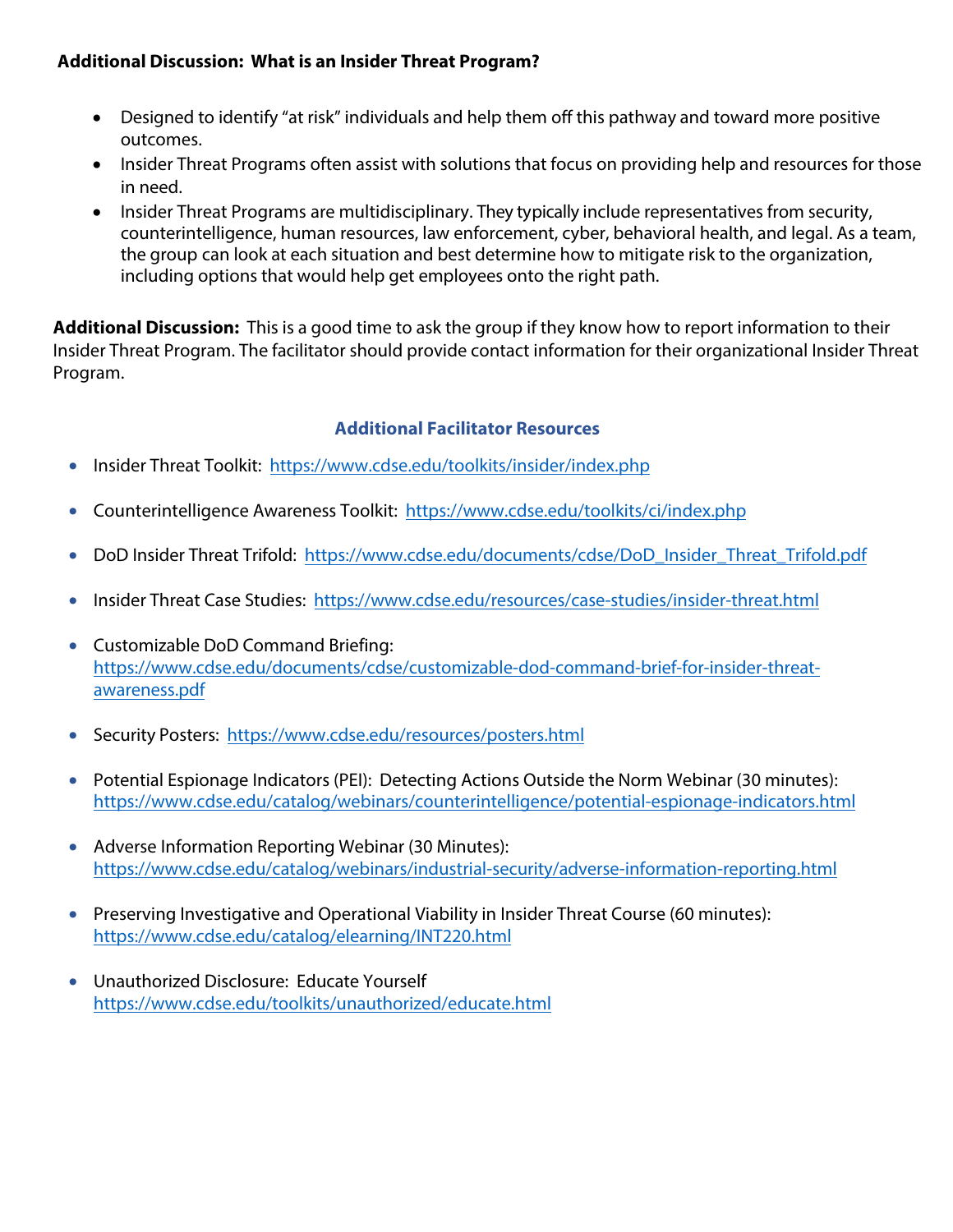## **Additional Discussion: What is an Insider Threat Program?**

- Designed to identify "at risk" individuals and help them off this pathway and toward more positive outcomes.
- Insider Threat Programs often assist with solutions that focus on providing help and resources for those in need.
- Insider Threat Programs are multidisciplinary. They typically include representatives from security, counterintelligence, human resources, law enforcement, cyber, behavioral health, and legal. As a team, the group can look at each situation and best determine how to mitigate risk to the organization, including options that would help get employees onto the right path.

**Additional Discussion:** This is a good time to ask the group if they know how to report information to their Insider Threat Program. The facilitator should provide contact information for their organizational Insider Threat Program.

- Insider Threat Toolkit: https://www.cdse.edu/toolkits/insider/index.php
- Counterintelligence Awareness Toolkit: https://www.cdse.edu/toolkits/ci/index.php
- DoD Insider Threat Trifold: https://www.cdse.edu/documents/cdse/DoD\_Insider\_Threat\_Trifold.pdf
- Insider Threat Cas[e Studies: https://www.cdse.edu/resources/case](https://www.cdse.edu/toolkits/insider/index.php)-studies/insider-threat.html
- Customizable DoD Command Brie[fing:](https://www.cdse.edu/toolkits/ci/index.php)  https://www.cdse.edu[/documents/cdse/customizable-dod-command-brief-for-insider-threat](https://www.cdse.edu/documents/cdse/DoD_Insider_Threat_Trifold.pdf)awareness.pdf
- Security Posters: https://www.cds[e.edu/resources/posters.html](https://www.cdse.edu/documents/cdse/customizable-dod-command-brief-for-insider-threat-awareness.pdf)
- [Potential Espionage Indicat](https://www.cdse.edu/documents/cdse/customizable-dod-command-brief-for-insider-threat-awareness.pdf)ors (PEI): Detecting Actions Outside the Norm Webinar (30 minutes): https://ww[w.cdse.edu/catalog/webinars/counterintellig](https://www.cdse.edu/resources/posters.html)ence/potential-espionage-indicators.html
- Adverse Information Reporting Webinar (30 Minutes): [https://www.cdse.edu/catalog/webinars/industrial-security/adverse-information-reporti](https://www.cdse.edu/catalog/webinars/counterintelligence/potential-espionage-indicators.html)ng.html
- Preserving Investigative and Operational Viability in Insider Threat Course (60 minutes): [https://www.cdse.edu/catalog/elearning/INT220.html](https://www.cdse.edu/catalog/webinars/industrial-security/adverse-information-reporting.html)
- Unauthorized Disclosure: Educate Yourself [https://www.cdse.edu/toolkits/unauthorized/ed](https://www.cdse.edu/catalog/elearning/INT220.html)ucate.html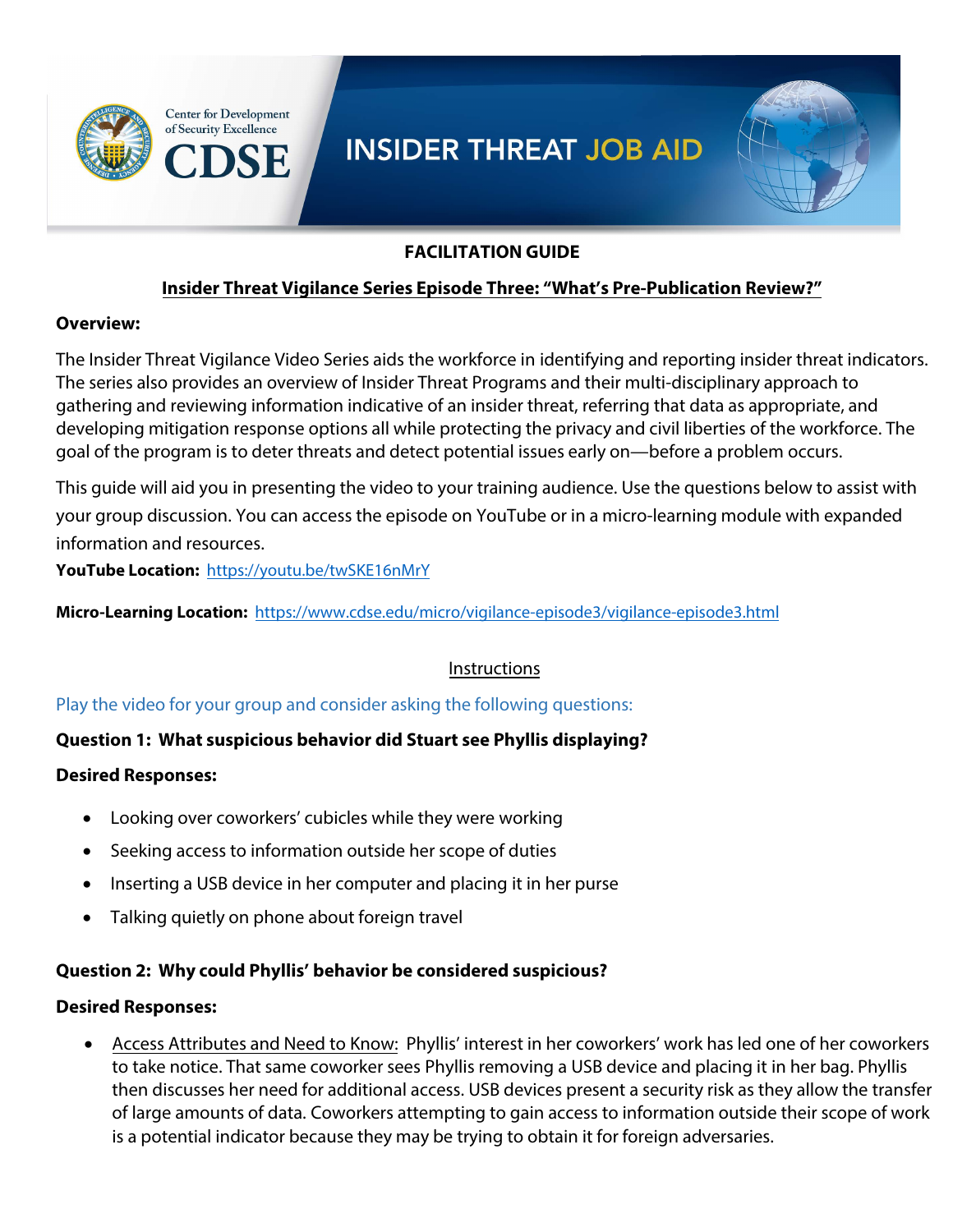

#### **FACILITATION GUIDE**

## **Insider Threat Vigilance Series Episode Three: "What's Pre-Publication Review?"**

#### **Overview:**

The Insider Threat Vigilance Video Series aids the workforce in identifying and reporting insider threat indicators. The series also provides an overview of Insider Threat Programs and their multi-disciplinary approach to gathering and reviewing information indicative of an insider threat, referring that data as appropriate, and developing mitigation response options all while protecting the privacy and civil liberties of the workforce. The goal of the program is to deter threats and detect potential issues early on—before a problem occurs.

This guide will aid you in presenting the video to your training audience. Use the questions below to assist with your group discussion. You can access the episode on YouTube or in a micro-learning module with expanded information and resources.

**YouTube Location:** [https://youtu.be/twSKE16nMr](https://youtu.be/twSKE16nMrY)Y

**Micro-Learning Location:** [https://www.cdse.edu/micro/vigilance-episode3/vigilance-episode3.ht](https://www.cdse.edu/micro/vigilance-episode3/vigilance-episode3.html)ml

#### Instructions

Play the video for your group and consider asking the following questions:

## **Question 1: What suspicious behavior did Stuart see Phyllis displaying?**

#### **Desired Responses:**

- Looking over coworkers' cubicles while they were working
- Seeking access to information outside her scope of duties
- Inserting a USB device in her computer and placing it in her purse
- Talking quietly on phone about foreign travel

#### **Question 2: Why could Phyllis' behavior be considered suspicious?**

#### **Desired Responses:**

• Access Attributes and Need to Know: Phyllis' interest in her coworkers' work has led one of her coworkers to take notice. That same coworker sees Phyllis removing a USB device and placing it in her bag. Phyllis then discusses her need for additional access. USB devices present a security risk as they allow the transfer of large amounts of data. Coworkers attempting to gain access to information outside their scope of work is a potential indicator because they may be trying to obtain it for foreign adversaries.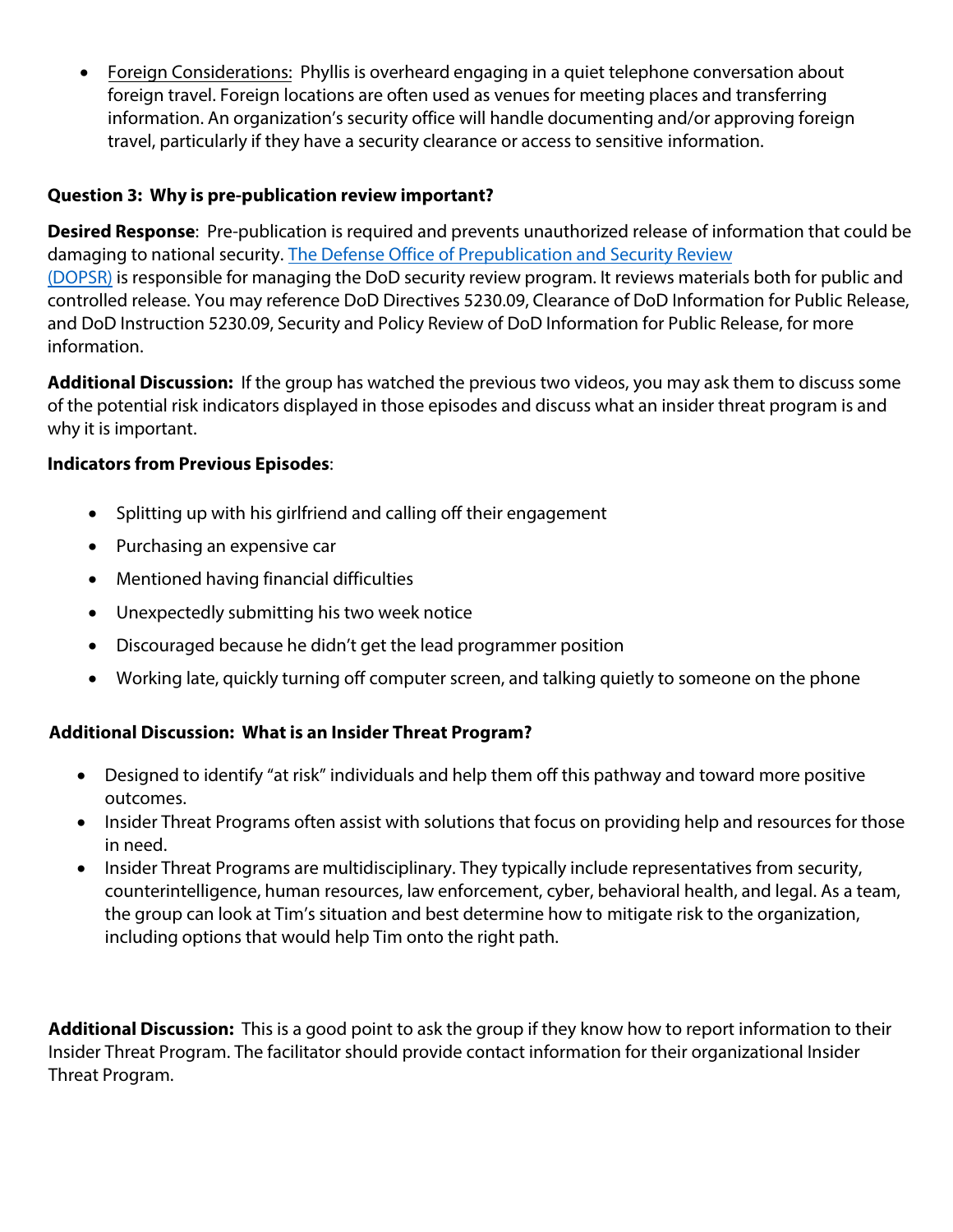• Foreign Considerations: Phyllis is overheard engaging in a quiet telephone conversation about foreign travel. Foreign locations are often used as venues for meeting places and transferring information. An organization's security office will handle documenting and/or approving foreign travel, particularly if they have a security clearance or access to sensitive information.

## **Question 3: Why is pre-publication review important?**

**Desired Response**: Pre-publication is required and prevents unauthorized release of information that could be damaging to national security. The Defense Office of Prepublication and Security Review (DOPSR) is responsible for managing the DoD security review program. It reviews materials both for public and controlled release. You may reference DoD Directives 5230.09, Clearance of DoD Information for Public Release, and DoD Instruction 5230.09, Security and Policy Review of DoD Information for Public Release, for more information.

**Additional Discussion:** If the group has watched the previous two videos, you may ask them to discuss some of the potential risk indicators displayed in those episodes and discuss what an insider threat program is and why it is important.

## **I[ndicators f](https://www.esd.whs.mil/DOPSR/)rom Previous Episodes**:

- Splitting up with his girlfriend and calling off their engagement
- Purchasing an expensive car
- Mentioned having financial difficulties
- Unexpectedly submitting his two week notice
- Discouraged because he didn't get the lead programmer position
- Working late, quickly turning off computer screen, and talking quietly to someone on the phone

## **Additional Discussion: What is an Insider Threat Program?**

- Designed to identify "at risk" individuals and help them off this pathway and toward more positive outcomes.
- Insider Threat Programs often assist with solutions that focus on providing help and resources for those in need.
- Insider Threat Programs are multidisciplinary. They typically include representatives from security, counterintelligence, human resources, law enforcement, cyber, behavioral health, and legal. As a team, the group can look at Tim's situation and best determine how to mitigate risk to the organization, including options that would help Tim onto the right path.

**Additional Discussion:** This is a good point to ask the group if they know how to report information to their Insider Threat Program. The facilitator should provide contact information for their organizational Insider Threat Program.